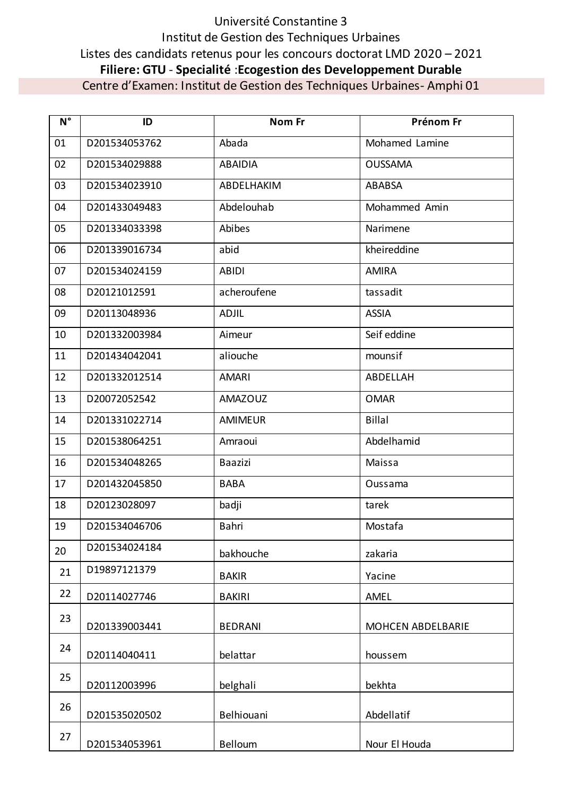## Université Constantine 3 Institut de Gestion des Techniques Urbaines Listes des candidats retenus pour les concours doctorat LMD 2020 – 2021 **Filiere: GTU** - **Specialité** :**Ecogestion des Developpement Durable** Centre d'Examen: Institut de Gestion des Techniques Urbaines- Amphi 01

| $N^{\circ}$ | ID            | Nom Fr         | Prénom Fr         |
|-------------|---------------|----------------|-------------------|
| 01          | D201534053762 | Abada          | Mohamed Lamine    |
| 02          | D201534029888 | <b>ABAIDIA</b> | <b>OUSSAMA</b>    |
| 03          | D201534023910 | ABDELHAKIM     | ABABSA            |
| 04          | D201433049483 | Abdelouhab     | Mohammed Amin     |
| 05          | D201334033398 | Abibes         | Narimene          |
| 06          | D201339016734 | abid           | kheireddine       |
| 07          | D201534024159 | <b>ABIDI</b>   | <b>AMIRA</b>      |
| 08          | D20121012591  | acheroufene    | tassadit          |
| 09          | D20113048936  | <b>ADJIL</b>   | <b>ASSIA</b>      |
| 10          | D201332003984 | Aimeur         | Seif eddine       |
| 11          | D201434042041 | aliouche       | mounsif           |
| 12          | D201332012514 | <b>AMARI</b>   | ABDELLAH          |
| 13          | D20072052542  | <b>AMAZOUZ</b> | <b>OMAR</b>       |
| 14          | D201331022714 | <b>AMIMEUR</b> | <b>Billal</b>     |
| 15          | D201538064251 | Amraoui        | Abdelhamid        |
| 16          | D201534048265 | <b>Baazizi</b> | Maissa            |
| 17          | D201432045850 | <b>BABA</b>    | Oussama           |
| 18          | D20123028097  | badji          | tarek             |
| 19          | D201534046706 | Bahri          | Mostafa           |
| 20          | D201534024184 | bakhouche      | zakaria           |
| 21          | D19897121379  | <b>BAKIR</b>   | Yacine            |
| 22          | D20114027746  | <b>BAKIRI</b>  | AMEL              |
| 23          | D201339003441 | <b>BEDRANI</b> | MOHCEN ABDELBARIE |
| 24          | D20114040411  | belattar       | houssem           |
| 25          | D20112003996  | belghali       | bekhta            |
| 26          | D201535020502 | Belhiouani     | Abdellatif        |
| 27          | D201534053961 | Belloum        | Nour El Houda     |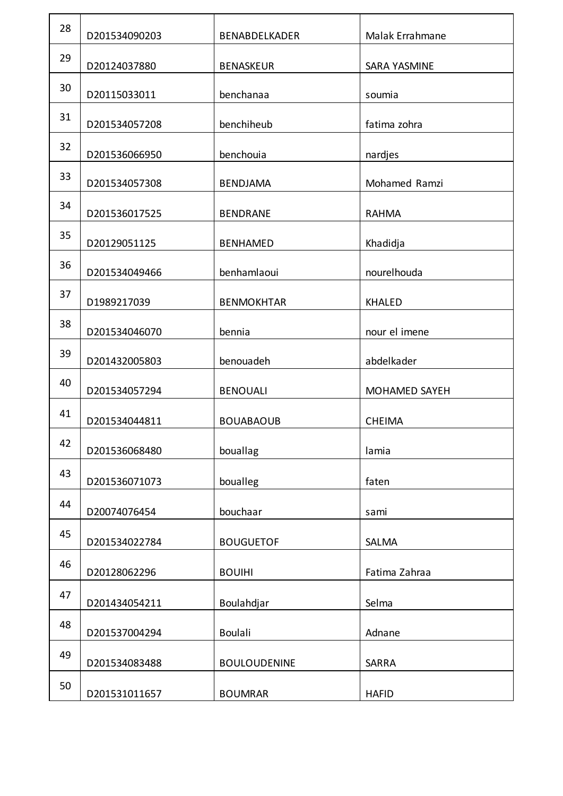| 28 | D201534090203 | BENABDELKADER       | Malak Errahmane      |
|----|---------------|---------------------|----------------------|
| 29 | D20124037880  | <b>BENASKEUR</b>    | <b>SARA YASMINE</b>  |
| 30 | D20115033011  | benchanaa           | soumia               |
| 31 | D201534057208 | benchiheub          | fatima zohra         |
| 32 | D201536066950 | benchouia           | nardjes              |
| 33 | D201534057308 | <b>BENDJAMA</b>     | Mohamed Ramzi        |
| 34 | D201536017525 | <b>BENDRANE</b>     | <b>RAHMA</b>         |
| 35 | D20129051125  | <b>BENHAMED</b>     | Khadidja             |
| 36 | D201534049466 | benhamlaoui         | nourelhouda          |
| 37 | D1989217039   | <b>BENMOKHTAR</b>   | <b>KHALED</b>        |
| 38 | D201534046070 | bennia              | nour el imene        |
| 39 | D201432005803 | benouadeh           | abdelkader           |
| 40 | D201534057294 | <b>BENOUALI</b>     | <b>MOHAMED SAYEH</b> |
| 41 | D201534044811 | <b>BOUABAOUB</b>    | <b>CHEIMA</b>        |
| 42 | D201536068480 | bouallag            | lamia                |
| 43 | D201536071073 | boualleg            | faten                |
| 44 | D20074076454  | bouchaar            | sami                 |
| 45 | D201534022784 | <b>BOUGUETOF</b>    | <b>SALMA</b>         |
| 46 | D20128062296  | <b>BOUIHI</b>       | Fatima Zahraa        |
| 47 | D201434054211 | Boulahdjar          | Selma                |
| 48 | D201537004294 | <b>Boulali</b>      | Adnane               |
| 49 | D201534083488 | <b>BOULOUDENINE</b> | SARRA                |
| 50 | D201531011657 | <b>BOUMRAR</b>      | <b>HAFID</b>         |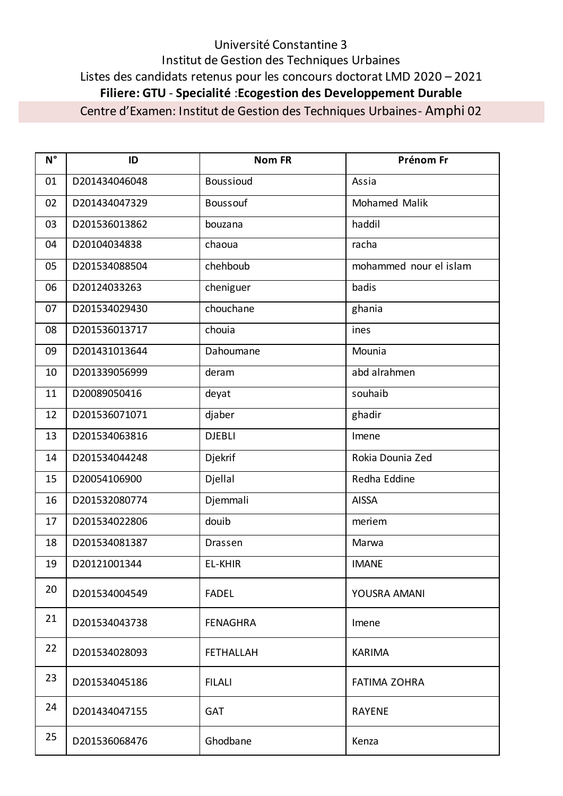## Université Constantine 3 Institut de Gestion des Techniques Urbaines Listes des candidats retenus pour les concours doctorat LMD 2020 – 2021 **Filiere: GTU** - **Specialité** :**Ecogestion des Developpement Durable**

Centre d'Examen: Institut de Gestion des Techniques Urbaines- Amphi 02

| $N^{\circ}$ | ID            | <b>Nom FR</b>    | Prénom Fr              |
|-------------|---------------|------------------|------------------------|
| 01          | D201434046048 | <b>Boussioud</b> | Assia                  |
| 02          | D201434047329 | <b>Boussouf</b>  | <b>Mohamed Malik</b>   |
| 03          | D201536013862 | bouzana          | haddil                 |
| 04          | D20104034838  | chaoua           | racha                  |
| 05          | D201534088504 | chehboub         | mohammed nour el islam |
| 06          | D20124033263  | cheniguer        | badis                  |
| 07          | D201534029430 | chouchane        | ghania                 |
| 08          | D201536013717 | chouia           | ines                   |
| 09          | D201431013644 | Dahoumane        | Mounia                 |
| 10          | D201339056999 | deram            | abd alrahmen           |
| 11          | D20089050416  | deyat            | souhaib                |
| 12          | D201536071071 | djaber           | ghadir                 |
| 13          | D201534063816 | <b>DJEBLI</b>    | Imene                  |
| 14          | D201534044248 | Djekrif          | Rokia Dounia Zed       |
| 15          | D20054106900  | Djellal          | Redha Eddine           |
| 16          | D201532080774 | Djemmali         | <b>AISSA</b>           |
| 17          | D201534022806 | douib            | meriem                 |
| 18          | D201534081387 | Drassen          | Marwa                  |
| 19          | D20121001344  | <b>EL-KHIR</b>   | <b>IMANE</b>           |
| 20          | D201534004549 | <b>FADEL</b>     | YOUSRA AMANI           |
| 21          | D201534043738 | <b>FENAGHRA</b>  | Imene                  |
| 22          | D201534028093 | <b>FETHALLAH</b> | <b>KARIMA</b>          |
| 23          | D201534045186 | <b>FILALI</b>    | <b>FATIMA ZOHRA</b>    |
| 24          | D201434047155 | <b>GAT</b>       | <b>RAYENE</b>          |
| 25          | D201536068476 | Ghodbane         | Kenza                  |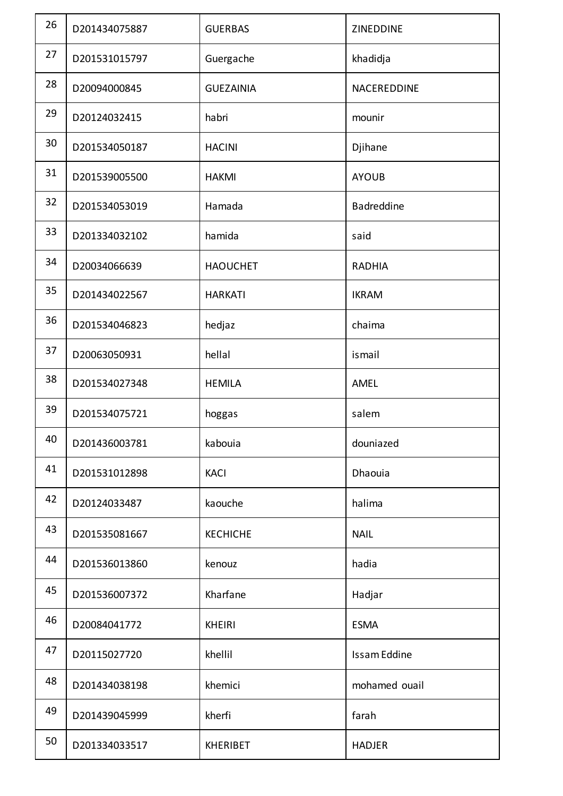| 26 | D201434075887 | <b>GUERBAS</b>   | ZINEDDINE     |
|----|---------------|------------------|---------------|
| 27 | D201531015797 | Guergache        | khadidja      |
| 28 | D20094000845  | <b>GUEZAINIA</b> | NACEREDDINE   |
| 29 | D20124032415  | habri            | mounir        |
| 30 | D201534050187 | <b>HACINI</b>    | Djihane       |
| 31 | D201539005500 | <b>HAKMI</b>     | <b>AYOUB</b>  |
| 32 | D201534053019 | Hamada           | Badreddine    |
| 33 | D201334032102 | hamida           | said          |
| 34 | D20034066639  | <b>HAOUCHET</b>  | <b>RADHIA</b> |
| 35 | D201434022567 | <b>HARKATI</b>   | <b>IKRAM</b>  |
| 36 | D201534046823 | hedjaz           | chaima        |
| 37 | D20063050931  | hellal           | ismail        |
| 38 | D201534027348 | <b>HEMILA</b>    | AMEL          |
| 39 | D201534075721 | hoggas           | salem         |
| 40 | D201436003781 | kabouia          | douniazed     |
| 41 | D201531012898 | <b>KACI</b>      | Dhaouia       |
| 42 | D20124033487  | kaouche          | halima        |
| 43 | D201535081667 | <b>KECHICHE</b>  | <b>NAIL</b>   |
| 44 | D201536013860 | kenouz           | hadia         |
| 45 | D201536007372 | Kharfane         | Hadjar        |
| 46 | D20084041772  | <b>KHEIRI</b>    | <b>ESMA</b>   |
| 47 | D20115027720  | khellil          | Issam Eddine  |
| 48 | D201434038198 | khemici          | mohamed ouail |
| 49 | D201439045999 | kherfi           | farah         |
| 50 | D201334033517 | <b>KHERIBET</b>  | <b>HADJER</b> |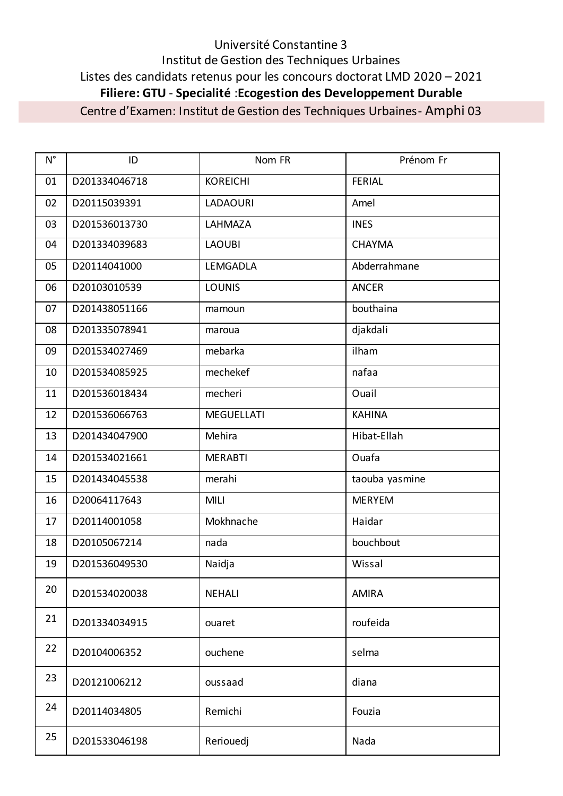## Université Constantine 3 Institut de Gestion des Techniques Urbaines Listes des candidats retenus pour les concours doctorat LMD 2020 - 2021 Filiere: GTU - Specialité : Ecogestion des Developpement Durable

Centre d'Examen: Institut de Gestion des Techniques Urbaines - Amphi 03

| $N^{\circ}$ | ID            | Nom FR            | Prénom Fr      |
|-------------|---------------|-------------------|----------------|
| 01          | D201334046718 | <b>KOREICHI</b>   | <b>FERIAL</b>  |
| 02          | D20115039391  | <b>LADAOURI</b>   | Amel           |
| 03          | D201536013730 | LAHMAZA           | <b>INES</b>    |
| 04          | D201334039683 | <b>LAOUBI</b>     | <b>CHAYMA</b>  |
| 05          | D20114041000  | LEMGADLA          | Abderrahmane   |
| 06          | D20103010539  | <b>LOUNIS</b>     | <b>ANCER</b>   |
| 07          | D201438051166 | mamoun            | bouthaina      |
| 08          | D201335078941 | maroua            | djakdali       |
| 09          | D201534027469 | mebarka           | ilham          |
| 10          | D201534085925 | mechekef          | nafaa          |
| 11          | D201536018434 | mecheri           | Ouail          |
| 12          | D201536066763 | <b>MEGUELLATI</b> | <b>KAHINA</b>  |
| 13          | D201434047900 | Mehira            | Hibat-Ellah    |
| 14          | D201534021661 | <b>MERABTI</b>    | Ouafa          |
| 15          | D201434045538 | merahi            | taouba yasmine |
| 16          | D20064117643  | <b>MILI</b>       | <b>MERYEM</b>  |
| 17          | D20114001058  | Mokhnache         | Haidar         |
| 18          | D20105067214  | nada              | bouchbout      |
| 19          | D201536049530 | Naidja            | Wissal         |
| 20          | D201534020038 | <b>NEHALI</b>     | <b>AMIRA</b>   |
| 21          | D201334034915 | ouaret            | roufeida       |
| 22          | D20104006352  | ouchene           | selma          |
| 23          | D20121006212  | oussaad           | diana          |
| 24          | D20114034805  | Remichi           | Fouzia         |
| 25          | D201533046198 | Reriouedj         | Nada           |